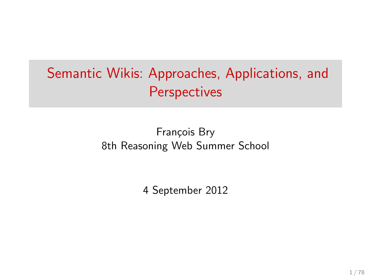# Semantic Wikis: Approaches, Applications, and **Perspectives**

François Bry 8th Reasoning Web Summer School

4 September 2012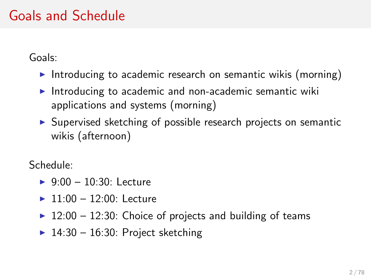## Goals and Schedule

Goals:

- Introducing to academic research on semantic wikis (morning)
- Introducing to academic and non-academic semantic wiki applications and systems (morning)
- $\triangleright$  Supervised sketching of possible research projects on semantic wikis (afternoon)

Schedule:

- $\triangleright$  9:00 10:30: Lecture
- $\blacktriangleright$  11:00 12:00: Lecture
- $\blacktriangleright$  12:00 12:30: Choice of projects and building of teams
- $\blacktriangleright$  14:30 16:30: Project sketching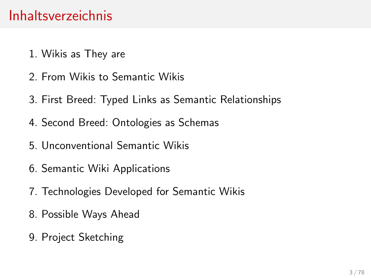#### Inhaltsverzeichnis

- [1. Wikis as They are](#page-3-0)
- [2. From Wikis to Semantic Wikis](#page-6-0)
- [3. First Breed: Typed Links as Semantic Relationships](#page-10-0)
- [4. Second Breed: Ontologies as Schemas](#page-15-0)
- [5. Unconventional Semantic Wikis](#page-27-0)
- [6. Semantic Wiki Applications](#page-45-0)
- [7. Technologies Developed for Semantic Wikis](#page-57-0)
- [8. Possible Ways Ahead](#page-63-0)
- [9. Project Sketching](#page-76-0)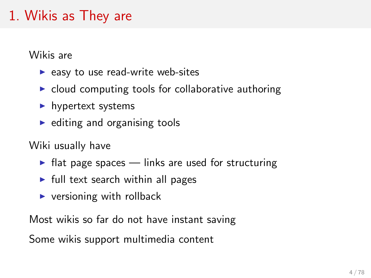# 1. Wikis as They are

Wikis are

- $\blacktriangleright$  easy to use read-write web-sites
- $\triangleright$  cloud computing tools for collaborative authoring
- $\blacktriangleright$  hypertext systems
- $\blacktriangleright$  editing and organising tools

Wiki usually have

- $\blacktriangleright$  flat page spaces links are used for structuring
- $\blacktriangleright$  full text search within all pages
- <span id="page-3-0"></span> $\blacktriangleright$  versioning with rollback

Most wikis so far do not have instant saving

Some wikis support multimedia content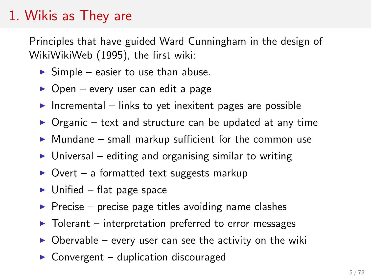## 1. Wikis as They are

Principles that have guided Ward Cunningham in the design of WikiWikiWeb (1995), the first wiki:

- $\triangleright$  Simple easier to use than abuse.
- $\triangleright$  Open every user can edit a page
- Incremental links to yet inexitent pages are possible
- $\triangleright$  Organic text and structure can be updated at any time
- $\triangleright$  Mundane small markup sufficient for the common use
- $\triangleright$  Universal editing and organising similar to writing
- $\triangleright$  Overt a formatted text suggests markup
- $\blacktriangleright$  Unified flat page space
- $\triangleright$  Precise precise page titles avoiding name clashes
- $\triangleright$  Tolerant interpretation preferred to error messages
- $\triangleright$  Obervable every user can see the activity on the wiki
- $\triangleright$  Convergent duplication discouraged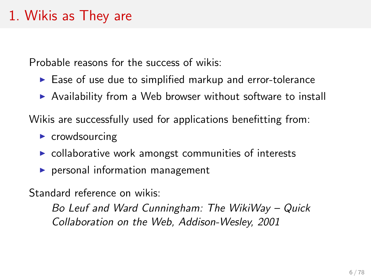## 1. Wikis as They are

Probable reasons for the success of wikis:

- $\blacktriangleright$  Ease of use due to simplified markup and error-tolerance
- $\triangleright$  Availability from a Web browser without software to install

Wikis are successfully used for applications benefitting from:

- $\triangleright$  crowdsourcing
- $\triangleright$  collaborative work amongst communities of interests
- $\blacktriangleright$  personal information management

Standard reference on wikis:

Bo Leuf and Ward Cunningham: The WikiWay – Quick Collaboration on the Web, Addison-Wesley, 2001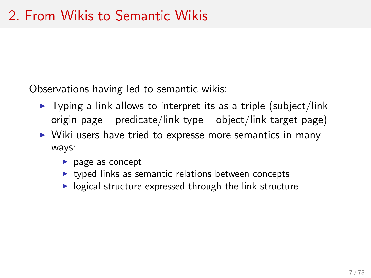Observations having led to semantic wikis:

- $\triangleright$  Typing a link allows to interpret its as a triple (subject/link origin page – predicate/link type – object/link target page)
- <span id="page-6-0"></span> $\triangleright$  Wiki users have tried to expresse more semantics in many ways:
	- $\blacktriangleright$  page as concept
	- $\rightarrow$  typed links as semantic relations between concepts
	- $\triangleright$  logical structure expressed through the link structure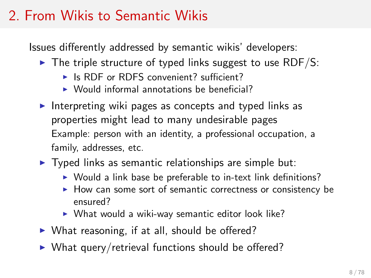# 2. From Wikis to Semantic Wikis

Issues differently addressed by semantic wikis' developers:

- $\triangleright$  The triple structure of typed links suggest to use RDF/S:
	- $\triangleright$  Is RDF or RDFS convenient? sufficient?
	- $\triangleright$  Would informal annotations be beneficial?
- Interpreting wiki pages as concepts and typed links as properties might lead to many undesirable pages Example: person with an identity, a professional occupation, a family, addresses, etc.
- $\triangleright$  Typed links as semantic relationships are simple but:
	- $\triangleright$  Would a link base be preferable to in-text link definitions?
	- $\blacktriangleright$  How can some sort of semantic correctness or consistency be ensured?
	- $\triangleright$  What would a wiki-way semantic editor look like?
- $\triangleright$  What reasoning, if at all, should be offered?
- $\triangleright$  What query/retrieval functions should be offered?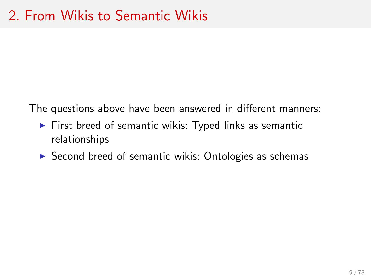The questions above have been answered in different manners:

- $\triangleright$  First breed of semantic wikis: Typed links as semantic relationships
- $\triangleright$  Second breed of semantic wikis: Ontologies as schemas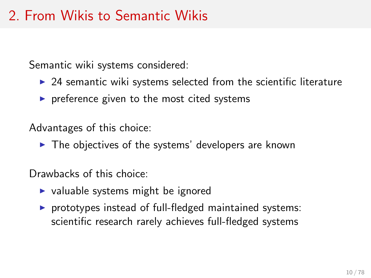# 2. From Wikis to Semantic Wikis

Semantic wiki systems considered:

- $\triangleright$  24 semantic wiki systems selected from the scientific literature
- $\triangleright$  preference given to the most cited systems

Advantages of this choice:

 $\blacktriangleright$  The objectives of the systems' developers are known

Drawbacks of this choice:

- $\triangleright$  valuable systems might be ignored
- $\triangleright$  prototypes instead of full-fledged maintained systems: scientific research rarely achieves full-fledged systems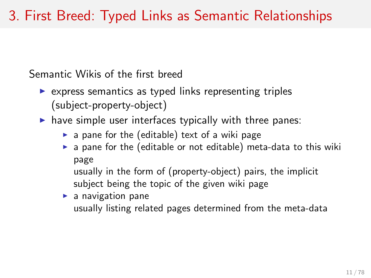# 3. First Breed: Typed Links as Semantic Relationships

Semantic Wikis of the first breed

- $\triangleright$  express semantics as typed links representing triples (subject-property-object)
- $\blacktriangleright$  have simple user interfaces typically with three panes:
	- $\triangleright$  a pane for the (editable) text of a wiki page
	- $\triangleright$  a pane for the (editable or not editable) meta-data to this wiki page

<span id="page-10-0"></span>usually in the form of (property-object) pairs, the implicit subject being the topic of the given wiki page

#### $\blacktriangleright$  a navigation pane usually listing related pages determined from the meta-data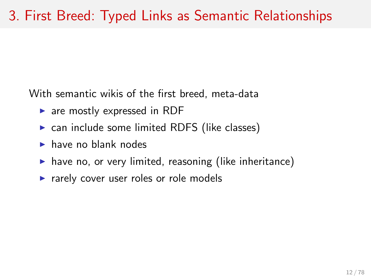With semantic wikis of the first breed, meta-data

- $\triangleright$  are mostly expressed in RDF
- $\triangleright$  can include some limited RDFS (like classes)
- $\blacktriangleright$  have no blank nodes
- $\blacktriangleright$  have no, or very limited, reasoning (like inheritance)
- $\triangleright$  rarely cover user roles or role models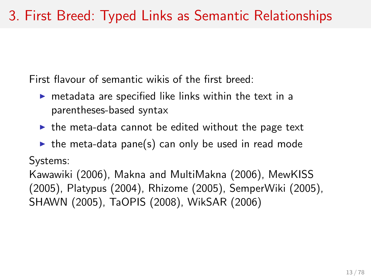First flavour of semantic wikis of the first breed:

- $\triangleright$  metadata are specified like links within the text in a parentheses-based syntax
- $\triangleright$  the meta-data cannot be edited without the page text
- $\triangleright$  the meta-data pane(s) can only be used in read mode

Systems:

Kawawiki (2006), Makna and MultiMakna (2006), MewKISS (2005), Platypus (2004), Rhizome (2005), SemperWiki (2005), SHAWN (2005), TaOPIS (2008), WikSAR (2006)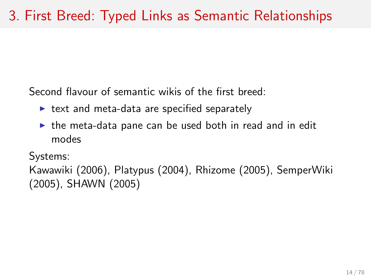Second flavour of semantic wikis of the first breed:

- $\triangleright$  text and meta-data are specified separately
- $\triangleright$  the meta-data pane can be used both in read and in edit modes

Systems:

Kawawiki (2006), Platypus (2004), Rhizome (2005), SemperWiki (2005), SHAWN (2005)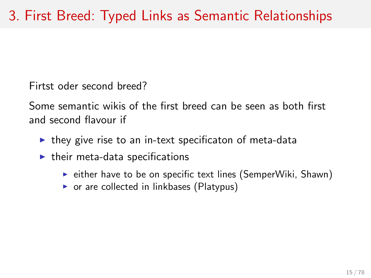Firtst oder second breed?

Some semantic wikis of the first breed can be seen as both first and second flavour if

- $\triangleright$  they give rise to an in-text specificaton of meta-data
- $\blacktriangleright$  their meta-data specifications
	- $\triangleright$  either have to be on specific text lines (SemperWiki, Shawn)
	- $\triangleright$  or are collected in linkbases (Platypus)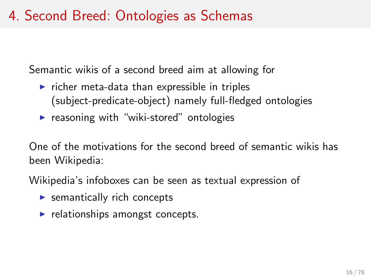## 4. Second Breed: Ontologies as Schemas

Semantic wikis of a second breed aim at allowing for

- $\triangleright$  richer meta-data than expressible in triples (subject-predicate-object) namely full-fledged ontologies
- $\triangleright$  reasoning with "wiki-stored" ontologies

One of the motivations for the second breed of semantic wikis has been Wikipedia:

Wikipedia's infoboxes can be seen as textual expression of

- $\blacktriangleright$  semantically rich concepts
- <span id="page-15-0"></span> $\blacktriangleright$  relationships amongst concepts.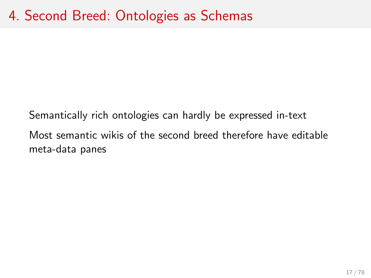Semantically rich ontologies can hardly be expressed in-text Most semantic wikis of the second breed therefore have editable meta-data panes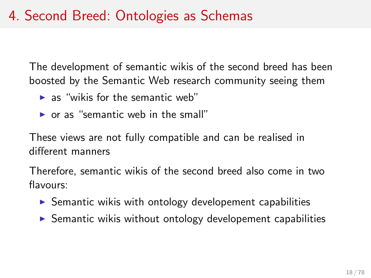## 4. Second Breed: Ontologies as Schemas

The development of semantic wikis of the second breed has been boosted by the Semantic Web research community seeing them

- $\blacktriangleright$  as "wikis for the semantic web"
- $\triangleright$  or as "semantic web in the small"

These views are not fully compatible and can be realised in different manners

Therefore, semantic wikis of the second breed also come in two flavours:

- $\triangleright$  Semantic wikis with ontology developement capabilities
- $\triangleright$  Semantic wikis without ontology developement capabilities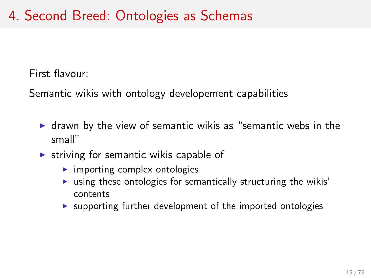First flavour:

Semantic wikis with ontology developement capabilities

- $\triangleright$  drawn by the view of semantic wikis as "semantic webs in the small"
- $\triangleright$  striving for semantic wikis capable of
	- $\blacktriangleright$  importing complex ontologies
	- $\triangleright$  using these ontologies for semantically structuring the wikis' contents
	- $\triangleright$  supporting further development of the imported ontologies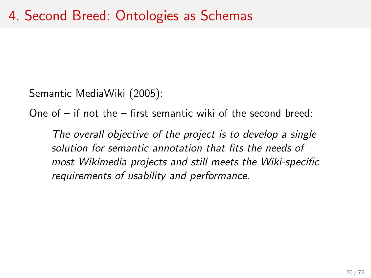Semantic MediaWiki (2005):

One of – if not the – first semantic wiki of the second breed:

The overall objective of the project is to develop a single solution for semantic annotation that fits the needs of most Wikimedia projects and still meets the Wiki-specific requirements of usability and performance.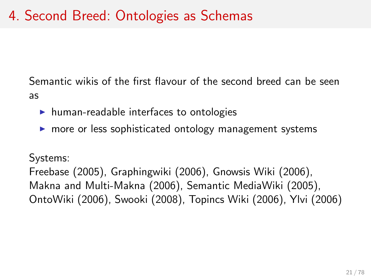Semantic wikis of the first flavour of the second breed can be seen as

- $\blacktriangleright$  human-readable interfaces to ontologies
- $\triangleright$  more or less sophisticated ontology management systems

#### Systems:

Freebase (2005), Graphingwiki (2006), Gnowsis Wiki (2006), Makna and Multi-Makna (2006), Semantic MediaWiki (2005), OntoWiki (2006), Swooki (2008), Topincs Wiki (2006), Ylvi (2006)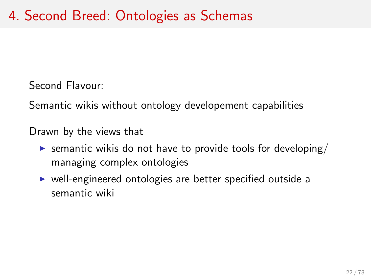Second Flavour:

Semantic wikis without ontology developement capabilities

Drawn by the views that

- **Example 1** semantic wikis do not have to provide tools for developing/ managing complex ontologies
- $\triangleright$  well-engineered ontologies are better specified outside a semantic wiki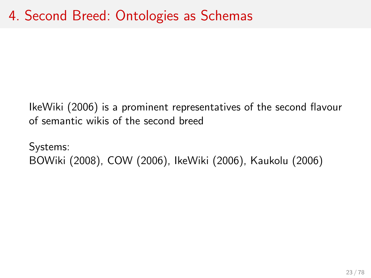IkeWiki (2006) is a prominent representatives of the second flavour of semantic wikis of the second breed

Systems: BOWiki (2008), COW (2006), IkeWiki (2006), Kaukolu (2006)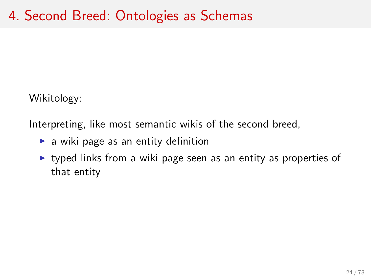Wikitology:

Interpreting, like most semantic wikis of the second breed,

- $\blacktriangleright$  a wiki page as an entity definition
- $\triangleright$  typed links from a wiki page seen as an entity as properties of that entity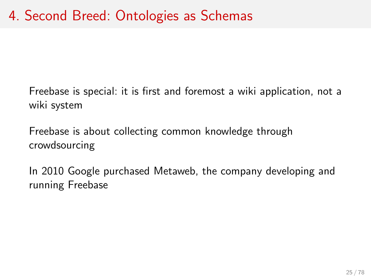Freebase is special: it is first and foremost a wiki application, not a wiki system

Freebase is about collecting common knowledge through crowdsourcing

In 2010 Google purchased Metaweb, the company developing and running Freebase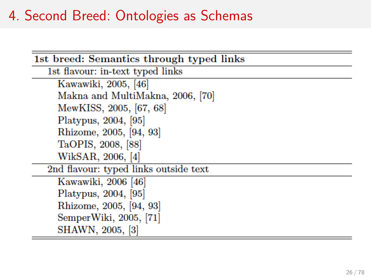#### 4. Second Breed: Ontologies as Schemas

| 1st breed: Semantics through typed links |
|------------------------------------------|
| 1st flavour: in-text typed links         |
| Kawawiki, 2005, [46]                     |
| Makna and MultiMakna, 2006, [70]         |
| MewKISS, 2005, [67, 68]                  |
| Platypus, 2004, [95]                     |
| Rhizome, 2005, [94, 93]                  |
| TaOPIS, 2008, [88]                       |
| WikSAR, 2006, [4]                        |
| 2nd flavour: typed links outside text    |
| Kawawiki, 2006 [46]                      |
| Platypus, 2004, [95]                     |
| Rhizome, 2005, [94, 93]                  |
| SemperWiki, 2005, [71]                   |
| SHAWN, 2005, [3]                         |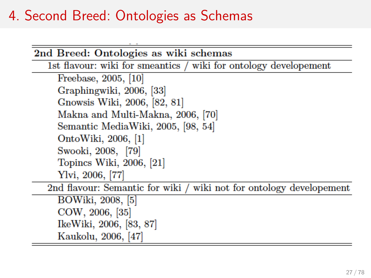#### 4. Second Breed: Ontologies as Schemas

| 2nd Breed: Ontologies as wiki schemas                               |
|---------------------------------------------------------------------|
| 1st flavour: wiki for smeantics / wiki for ontology developement    |
| Freebase, 2005, [10]                                                |
| Graphingwiki, 2006, [33]                                            |
| Gnowsis Wiki, 2006, [82, 81]                                        |
| Makna and Multi-Makna, 2006, [70]                                   |
| Semantic MediaWiki, 2005, [98, 54]                                  |
| OntoWiki, 2006, [1]                                                 |
| Swooki, 2008, [79]                                                  |
| Topincs Wiki, 2006, [21]                                            |
| Ylvi, 2006, [77]                                                    |
| 2nd flavour: Semantic for wiki / wiki not for ontology developement |
| BOWiki, 2008, [5]                                                   |
| COW, 2006, [35]                                                     |
| IkeWiki, 2006, [83, 87]                                             |
| Kaukolu, 2006, [47]                                                 |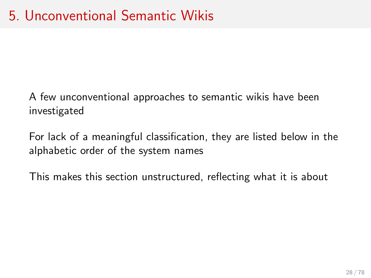A few unconventional approaches to semantic wikis have been investigated

For lack of a meaningful classification, they are listed below in the alphabetic order of the system names

<span id="page-27-0"></span>This makes this section unstructured, reflecting what it is about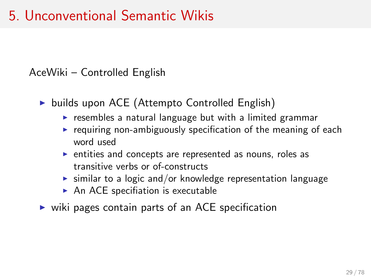#### AceWiki – Controlled English

- $\triangleright$  builds upon ACE (Attempto Controlled English)
	- $\triangleright$  resembles a natural language but with a limited grammar
	- $\triangleright$  requiring non-ambiguously specification of the meaning of each word used
	- $\triangleright$  entities and concepts are represented as nouns, roles as transitive verbs or of-constructs
	- $\triangleright$  similar to a logic and/or knowledge representation language
	- $\triangleright$  An ACE specifiation is executable
- $\triangleright$  wiki pages contain parts of an ACE specification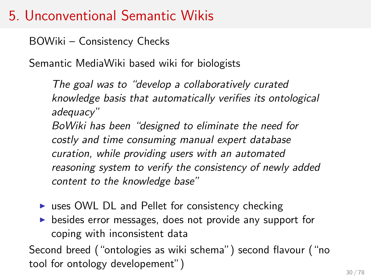BOWiki – Consistency Checks

Semantic MediaWiki based wiki for biologists

The goal was to "develop a collaboratively curated knowledge basis that automatically verifies its ontological adequacy" BoWiki has been "designed to eliminate the need for costly and time consuming manual expert database curation, while providing users with an automated reasoning system to verify the consistency of newly added content to the knowledge base"

- $\triangleright$  uses OWL DL and Pellet for consistency checking
- $\triangleright$  besides error messages, does not provide any support for coping with inconsistent data

Second breed ("ontologies as wiki schema") second flavour ("no tool for ontology developement")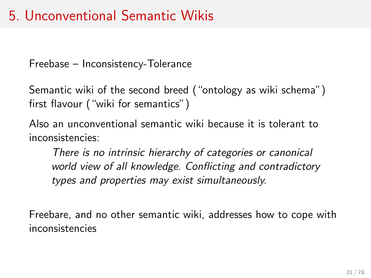Freebase – Inconsistency-Tolerance

Semantic wiki of the second breed ("ontology as wiki schema") first flavour ("wiki for semantics")

Also an unconventional semantic wiki because it is tolerant to inconsistencies:

There is no intrinsic hierarchy of categories or canonical world view of all knowledge. Conflicting and contradictory types and properties may exist simultaneously.

Freebare, and no other semantic wiki, addresses how to cope with inconsistencies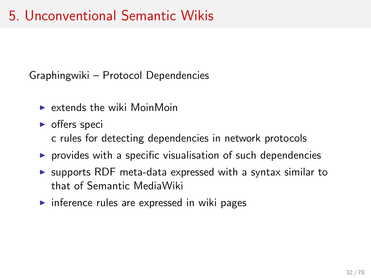Graphingwiki – Protocol Dependencies

- $\triangleright$  extends the wiki MoinMoin
- $\triangleright$  offers speci
	- c rules for detecting dependencies in network protocols
- $\triangleright$  provides with a specific visualisation of such dependencies
- $\triangleright$  supports RDF meta-data expressed with a syntax similar to that of Semantic MediaWiki
- $\triangleright$  inference rules are expressed in wiki pages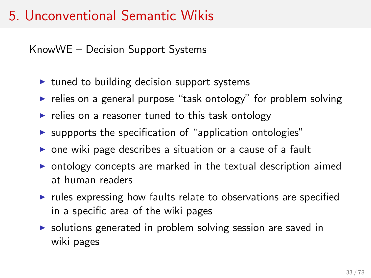KnowWE – Decision Support Systems

- $\triangleright$  tuned to building decision support systems
- $\triangleright$  relies on a general purpose "task ontology" for problem solving
- $\triangleright$  relies on a reasoner tuned to this task ontology
- $\triangleright$  suppports the specification of "application ontologies"
- $\triangleright$  one wiki page describes a situation or a cause of a fault
- $\triangleright$  ontology concepts are marked in the textual description aimed at human readers
- $\triangleright$  rules expressing how faults relate to observations are specified in a specific area of the wiki pages
- $\triangleright$  solutions generated in problem solving session are saved in wiki pages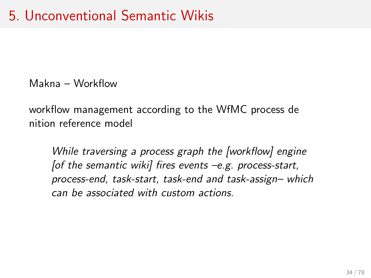Makna – Workflow

workflow management according to the WfMC process de nition reference model

While traversing a process graph the [workflow] engine [of the semantic wiki] fires events  $-e.g.$  process-start, process-end, task-start, task-end and task-assign– which can be associated with custom actions.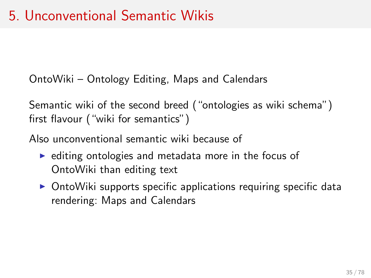OntoWiki – Ontology Editing, Maps and Calendars

Semantic wiki of the second breed ("ontologies as wiki schema") first flavour ("wiki for semantics")

Also unconventional semantic wiki because of

- $\triangleright$  editing ontologies and metadata more in the focus of OntoWiki than editing text
- $\triangleright$  OntoWiki supports specific applications requiring specific data rendering: Maps and Calendars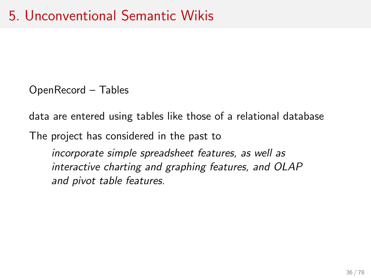OpenRecord – Tables

data are entered using tables like those of a relational database

The project has considered in the past to

incorporate simple spreadsheet features, as well as interactive charting and graphing features, and OLAP and pivot table features.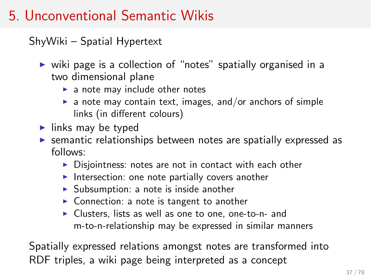ShyWiki – Spatial Hypertext

- $\triangleright$  wiki page is a collection of "notes" spatially organised in a two dimensional plane
	- $\blacktriangleright$  a note may include other notes
	- $\blacktriangleright$  a note may contain text, images, and/or anchors of simple links (in different colours)
- $\blacktriangleright$  links may be typed
- $\triangleright$  semantic relationships between notes are spatially expressed as follows:
	- $\triangleright$  Disjointness: notes are not in contact with each other
	- Intersection: one note partially covers another
	- $\triangleright$  Subsumption: a note is inside another
	- $\triangleright$  Connection: a note is tangent to another
	- $\triangleright$  Clusters, lists as well as one to one, one-to-n- and m-to-n-relationship may be expressed in similar manners

Spatially expressed relations amongst notes are transformed into RDF triples, a wiki page being interpreted as a concept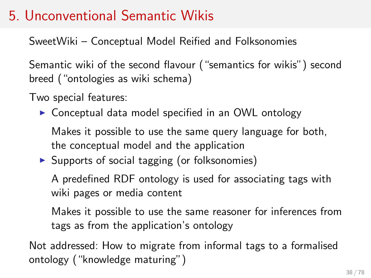SweetWiki – Conceptual Model Reified and Folksonomies

Semantic wiki of the second flavour ("semantics for wikis") second breed ("ontologies as wiki schema)

Two special features:

 $\triangleright$  Conceptual data model specified in an OWL ontology

Makes it possible to use the same query language for both, the conceptual model and the application

 $\triangleright$  Supports of social tagging (or folksonomies)

A predefined RDF ontology is used for associating tags with wiki pages or media content

Makes it possible to use the same reasoner for inferences from tags as from the application's ontology

Not addressed: How to migrate from informal tags to a formalised ontology ("knowledge maturing")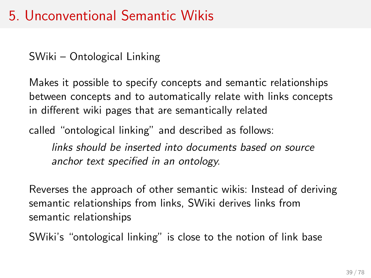SWiki – Ontological Linking

Makes it possible to specify concepts and semantic relationships between concepts and to automatically relate with links concepts in different wiki pages that are semantically related

called "ontological linking" and described as follows:

links should be inserted into documents based on source anchor text specified in an ontology.

Reverses the approach of other semantic wikis: Instead of deriving semantic relationships from links, SWiki derives links from semantic relationships

SWiki's "ontological linking" is close to the notion of link base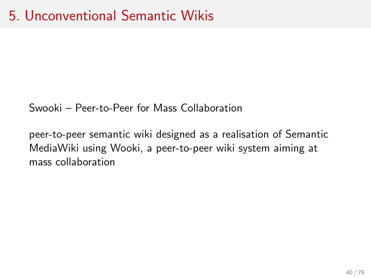Swooki – Peer-to-Peer for Mass Collaboration

peer-to-peer semantic wiki designed as a realisation of Semantic MediaWiki using Wooki, a peer-to-peer wiki system aiming at mass collaboration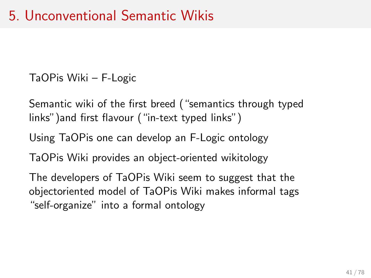TaOPis Wiki – F-Logic

Semantic wiki of the first breed ("semantics through typed links")and first flavour ("in-text typed links")

Using TaOPis one can develop an F-Logic ontology

TaOPis Wiki provides an object-oriented wikitology

The developers of TaOPis Wiki seem to suggest that the objectoriented model of TaOPis Wiki makes informal tags "self-organize" into a formal ontology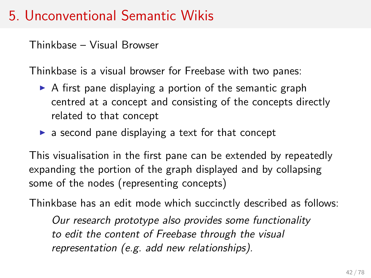Thinkbase – Visual Browser

Thinkbase is a visual browser for Freebase with two panes:

- $\triangleright$  A first pane displaying a portion of the semantic graph centred at a concept and consisting of the concepts directly related to that concept
- $\triangleright$  a second pane displaying a text for that concept

This visualisation in the first pane can be extended by repeatedly expanding the portion of the graph displayed and by collapsing some of the nodes (representing concepts)

Thinkbase has an edit mode which succinctly described as follows:

Our research prototype also provides some functionality to edit the content of Freebase through the visual representation (e.g. add new relationships).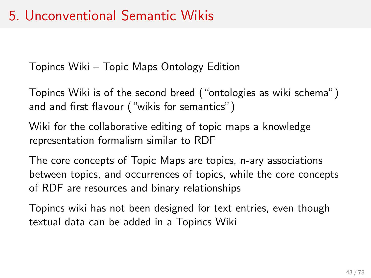Topincs Wiki – Topic Maps Ontology Edition

Topincs Wiki is of the second breed ("ontologies as wiki schema") and and first flavour ("wikis for semantics")

Wiki for the collaborative editing of topic maps a knowledge representation formalism similar to RDF

The core concepts of Topic Maps are topics, n-ary associations between topics, and occurrences of topics, while the core concepts of RDF are resources and binary relationships

Topincs wiki has not been designed for text entries, even though textual data can be added in a Topincs Wiki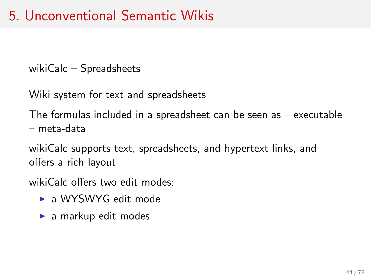wikiCalc – Spreadsheets

Wiki system for text and spreadsheets

The formulas included in a spreadsheet can be seen as – executable – meta-data

wikiCalc supports text, spreadsheets, and hypertext links, and offers a rich layout

wikiCalc offers two edit modes:

- $\triangleright$  a WYSWYG edit mode
- $\blacktriangleright$  a markup edit modes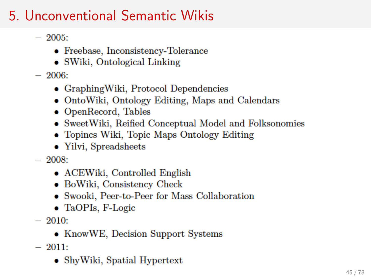- $-2005$ 
	- $\bullet$  Freebase, Inconsistency-Tolerance
	- SWiki, Ontological Linking
- $-2006$ 
	- GraphingWiki, Protocol Dependencies
	- OntoWiki, Ontology Editing, Maps and Calendars
	- OpenRecord, Tables
	- SweetWiki, Reified Conceptual Model and Folksonomies
	- Topincs Wiki, Topic Maps Ontology Editing
	- Yilvi, Spreadsheets
- $-2008$ 
	- ACEWiki, Controlled English
	- BoWiki, Consistency Check
	- Swooki, Peer-to-Peer for Mass Collaboration
	- $\bullet$  TaOPIs, F-Logic
- $-2010$ 
	- KnowWE, Decision Support Systems
- $-2011$ :
	- ShyWiki, Spatial Hypertext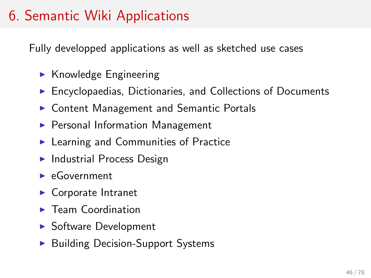# 6. Semantic Wiki Applications

Fully developped applications as well as sketched use cases

- $\blacktriangleright$  Knowledge Engineering
- $\blacktriangleright$  Encyclopaedias, Dictionaries, and Collections of Documents
- ▶ Content Management and Semantic Portals
- $\blacktriangleright$  Personal Information Management
- $\blacktriangleright$  Learning and Communities of Practice
- $\blacktriangleright$  Industrial Process Design
- $\blacktriangleright$  eGovernment
- $\blacktriangleright$  Corporate Intranet
- $\blacktriangleright$  Team Coordination
- $\blacktriangleright$  Software Development
- $\blacktriangleright$  Building Decision-Support Systems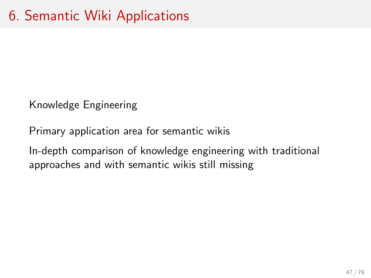Knowledge Engineering

Primary application area for semantic wikis

In-depth comparison of knowledge engineering with traditional approaches and with semantic wikis still missing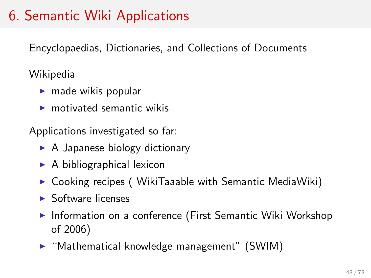# 6. Semantic Wiki Applications

Encyclopaedias, Dictionaries, and Collections of Documents

Wikipedia

- $\blacktriangleright$  made wikis popular
- $\blacktriangleright$  motivated semantic wikis

Applications investigated so far:

- $\triangleright$  A Japanese biology dictionary
- $\triangleright$  A bibliographical lexicon
- $\triangleright$  Cooking recipes (WikiTaaable with Semantic MediaWiki)
- $\blacktriangleright$  Software licenses
- $\blacktriangleright$  Information on a conference (First Semantic Wiki Workshop of 2006)
- $\triangleright$  "Mathematical knowledge management" (SWIM)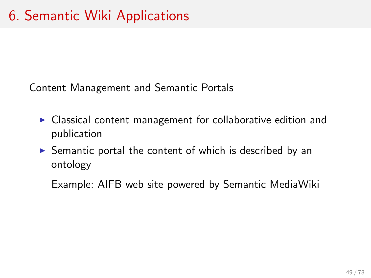Content Management and Semantic Portals

- $\triangleright$  Classical content management for collaborative edition and publication
- $\triangleright$  Semantic portal the content of which is described by an ontology

Example: AIFB web site powered by Semantic MediaWiki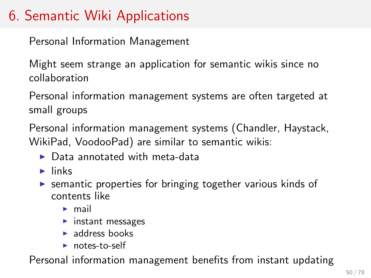# 6. Semantic Wiki Applications

Personal Information Management

Might seem strange an application for semantic wikis since no collaboration

Personal information management systems are often targeted at small groups

Personal information management systems (Chandler, Haystack, WikiPad, VoodooPad) are similar to semantic wikis:

- $\triangleright$  Data annotated with meta-data
- $\blacktriangleright$  links
- $\triangleright$  semantic properties for bringing together various kinds of contents like
	- $\blacktriangleright$  mail
	- $\blacktriangleright$  instant messages
	- $\blacktriangleright$  address books
	- $\triangleright$  notes-to-self

Personal information management benefits from instant updating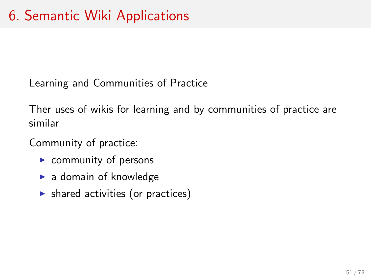Learning and Communities of Practice

Ther uses of wikis for learning and by communities of practice are similar

Community of practice:

- $\triangleright$  community of persons
- $\blacktriangleright$  a domain of knowledge
- $\triangleright$  shared activities (or practices)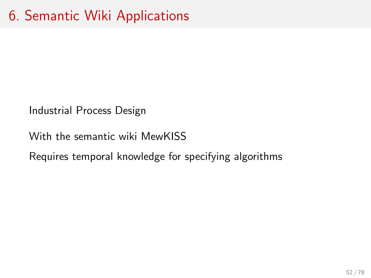Industrial Process Design

With the semantic wiki MewKISS

Requires temporal knowledge for specifying algorithms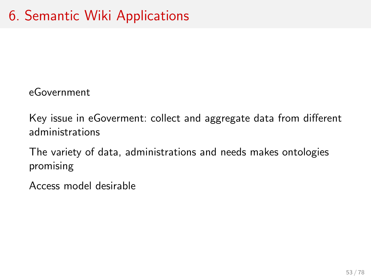eGovernment

Key issue in eGoverment: collect and aggregate data from different administrations

The variety of data, administrations and needs makes ontologies promising

Access model desirable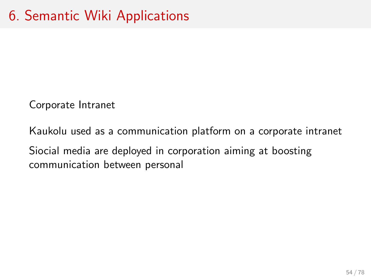Corporate Intranet

Kaukolu used as a communication platform on a corporate intranet Siocial media are deployed in corporation aiming at boosting communication between personal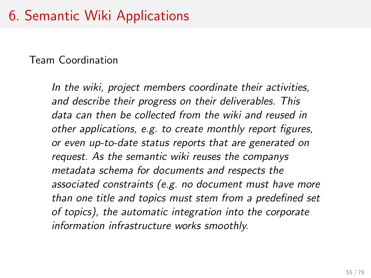# 6. Semantic Wiki Applications

#### Team Coordination

In the wiki, project members coordinate their activities, and describe their progress on their deliverables. This data can then be collected from the wiki and reused in other applications, e.g. to create monthly report figures, or even up-to-date status reports that are generated on request. As the semantic wiki reuses the companys metadata schema for documents and respects the associated constraints (e.g. no document must have more than one title and topics must stem from a predefined set of topics), the automatic integration into the corporate information infrastructure works smoothly.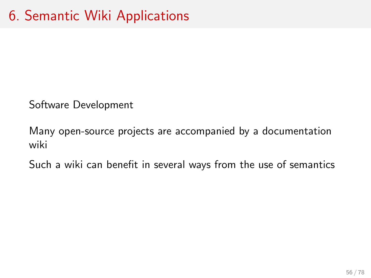Software Development

Many open-source projects are accompanied by a documentation wiki

Such a wiki can benefit in several ways from the use of semantics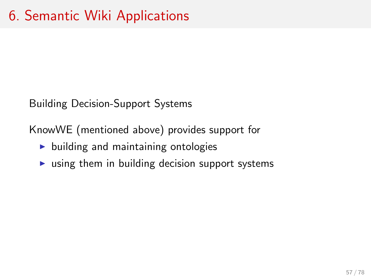Building Decision-Support Systems

KnowWE (mentioned above) provides support for

- $\blacktriangleright$  building and maintaining ontologies
- $\triangleright$  using them in building decision support systems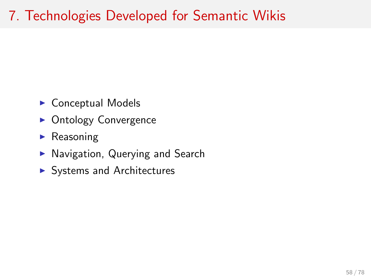# 7. Technologies Developed for Semantic Wikis

- $\triangleright$  Conceptual Models
- Ontology Convergence
- $\blacktriangleright$  Reasoning
- $\blacktriangleright$  Navigation, Querying and Search
- $\blacktriangleright$  Systems and Architectures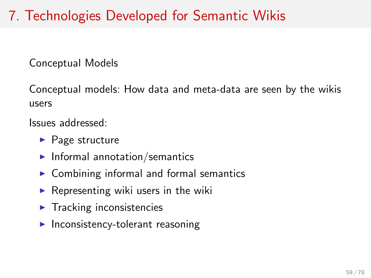# 7. Technologies Developed for Semantic Wikis

Conceptual Models

Conceptual models: How data and meta-data are seen by the wikis users

Issues addressed:

- $\blacktriangleright$  Page structure
- $\blacktriangleright$  Informal annotation/semantics
- $\triangleright$  Combining informal and formal semantics
- $\triangleright$  Representing wiki users in the wiki
- $\blacktriangleright$  Tracking inconsistencies
- $\blacktriangleright$  Inconsistency-tolerant reasoning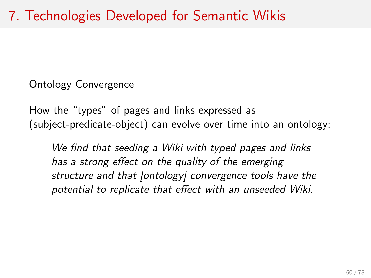Ontology Convergence

How the "types" of pages and links expressed as (subject-predicate-object) can evolve over time into an ontology:

We find that seeding a Wiki with typed pages and links has a strong effect on the quality of the emerging structure and that [ontology] convergence tools have the potential to replicate that effect with an unseeded Wiki.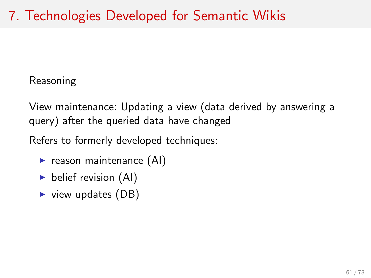Reasoning

View maintenance: Updating a view (data derived by answering a query) after the queried data have changed

Refers to formerly developed techniques:

- $\blacktriangleright$  reason maintenance (AI)
- belief revision  $(AI)$
- $\triangleright$  view updates (DB)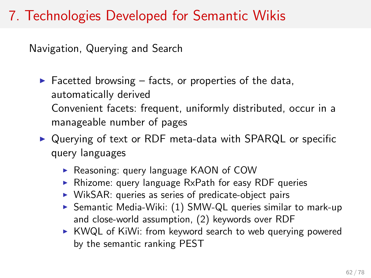## 7. Technologies Developed for Semantic Wikis

Navigation, Querying and Search

 $\blacktriangleright$  Facetted browsing – facts, or properties of the data, automatically derived Convenient facets: frequent, uniformly distributed, occur in a manageable number of pages

 $\triangleright$  Querying of text or RDF meta-data with SPARQL or specific query languages

- ▶ Reasoning: query language KAON of COW
- $\triangleright$  Rhizome: query language RxPath for easy RDF queries
- $\triangleright$  WikSAR: queries as series of predicate-object pairs
- $\triangleright$  Semantic Media-Wiki: (1) SMW-QL queries similar to mark-up and close-world assumption, (2) keywords over RDF
- $\triangleright$  KWQL of KiWi: from keyword search to web querying powered by the semantic ranking PEST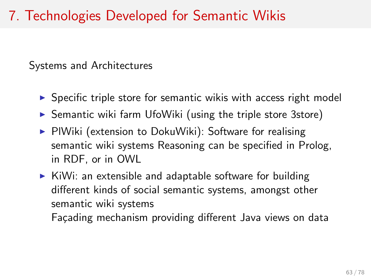## 7. Technologies Developed for Semantic Wikis

Systems and Architectures

- $\triangleright$  Specific triple store for semantic wikis with access right model
- $\triangleright$  Semantic wiki farm UfoWiki (using the triple store 3store)
- $\triangleright$  PIWiki (extension to DokuWiki): Software for realising semantic wiki systems Reasoning can be specified in Prolog, in RDF, or in OWL
- $\triangleright$  KiWi: an extensible and adaptable software for building different kinds of social semantic systems, amongst other semantic wiki systems Façading mechanism providing different Java views on data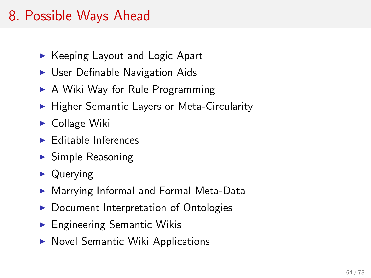### 8. Possible Ways Ahead

- $\triangleright$  Keeping Layout and Logic Apart
- $\triangleright$  User Definable Navigation Aids
- $\triangleright$  A Wiki Way for Rule Programming
- $\blacktriangleright$  Higher Semantic Layers or Meta-Circularity
- $\blacktriangleright$  Collage Wiki
- $\blacktriangleright$  Editable Inferences
- $\blacktriangleright$  Simple Reasoning
- $\triangleright$  Querying
- ▶ Marrying Informal and Formal Meta-Data
- Document Interpretation of Ontologies
- $\blacktriangleright$  Engineering Semantic Wikis
- $\triangleright$  Novel Semantic Wiki Applications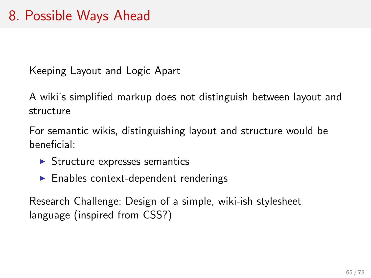Keeping Layout and Logic Apart

A wiki's simplified markup does not distinguish between layout and structure

For semantic wikis, distinguishing layout and structure would be beneficial:

- $\triangleright$  Structure expresses semantics
- $\blacktriangleright$  Enables context-dependent renderings

Research Challenge: Design of a simple, wiki-ish stylesheet language (inspired from CSS?)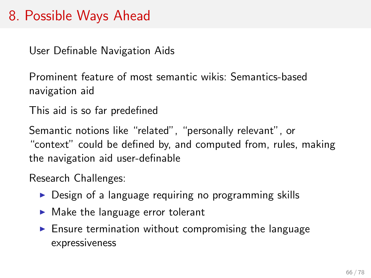#### 8. Possible Ways Ahead

User Definable Navigation Aids

Prominent feature of most semantic wikis: Semantics-based navigation aid

This aid is so far predefined

Semantic notions like "related", "personally relevant", or "context" could be defined by, and computed from, rules, making the navigation aid user-definable

Research Challenges:

- $\triangleright$  Design of a language requiring no programming skills
- $\blacktriangleright$  Make the language error tolerant
- $\blacktriangleright$  Ensure termination without compromising the language expressiveness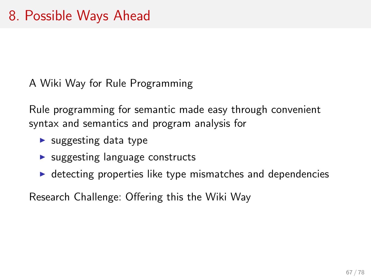A Wiki Way for Rule Programming

Rule programming for semantic made easy through convenient syntax and semantics and program analysis for

- $\blacktriangleright$  suggesting data type
- $\triangleright$  suggesting language constructs
- $\triangleright$  detecting properties like type mismatches and dependencies

Research Challenge: Offering this the Wiki Way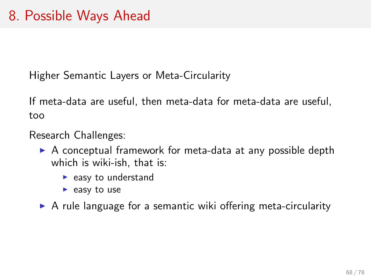Higher Semantic Layers or Meta-Circularity

If meta-data are useful, then meta-data for meta-data are useful, too

Research Challenges:

- $\triangleright$  A conceptual framework for meta-data at any possible depth which is wiki-ish, that is:
	- $\blacktriangleright$  easy to understand
	- $\blacktriangleright$  easy to use
- $\triangleright$  A rule language for a semantic wiki offering meta-circularity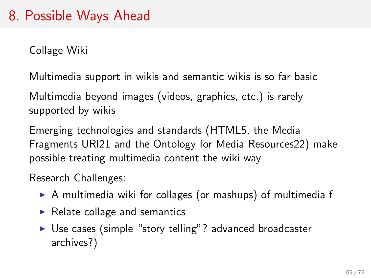#### 8. Possible Ways Ahead

Collage Wiki

Multimedia support in wikis and semantic wikis is so far basic

Multimedia beyond images (videos, graphics, etc.) is rarely supported by wikis

Emerging technologies and standards (HTML5, the Media Fragments URI21 and the Ontology for Media Resources22) make possible treating multimedia content the wiki way

Research Challenges:

- $\triangleright$  A multimedia wiki for collages (or mashups) of multimedia f
- $\blacktriangleright$  Relate collage and semantics
- ▶ Use cases (simple "story telling"? advanced broadcaster archives?)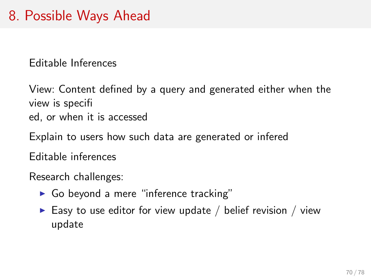Editable Inferences

View: Content defined by a query and generated either when the view is specifi ed, or when it is accessed

Explain to users how such data are generated or infered

Editable inferences

Research challenges:

- $\triangleright$  Go beyond a mere "inference tracking"
- Easy to use editor for view update / belief revision / view update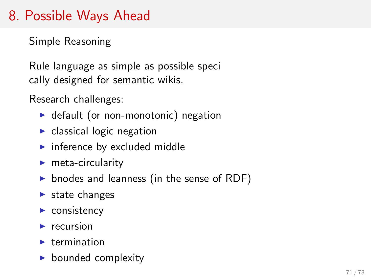## 8. Possible Ways Ahead

Simple Reasoning

Rule language as simple as possible speci cally designed for semantic wikis.

Research challenges:

- $\triangleright$  default (or non-monotonic) negation
- $\blacktriangleright$  classical logic negation
- $\blacktriangleright$  inference by excluded middle
- $\blacktriangleright$  meta-circularity
- $\triangleright$  bnodes and leanness (in the sense of RDF)
- $\blacktriangleright$  state changes
- $\blacktriangleright$  consistency
- $\blacktriangleright$  recursion
- $\blacktriangleright$  termination
- $\blacktriangleright$  bounded complexity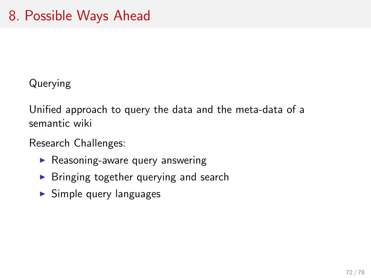Querying

Unified approach to query the data and the meta-data of a semantic wiki

Research Challenges:

- $\blacktriangleright$  Reasoning-aware query answering
- $\blacktriangleright$  Bringing together querying and search
- $\blacktriangleright$  Simple query languages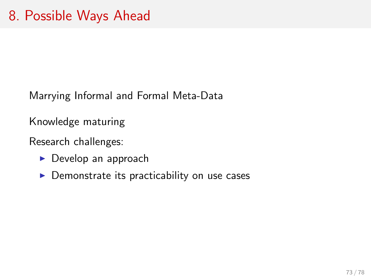Marrying Informal and Formal Meta-Data

Knowledge maturing

Research challenges:

- $\triangleright$  Develop an approach
- $\triangleright$  Demonstrate its practicability on use cases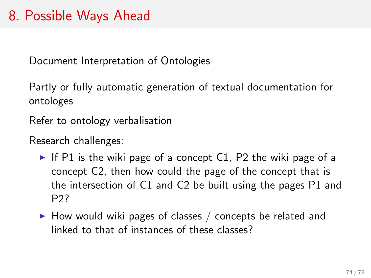## 8. Possible Ways Ahead

Document Interpretation of Ontologies

Partly or fully automatic generation of textual documentation for ontologes

Refer to ontology verbalisation

Research challenges:

- If P1 is the wiki page of a concept C1, P2 the wiki page of a concept C2, then how could the page of the concept that is the intersection of C1 and C2 be built using the pages P1 and P2?
- $\blacktriangleright$  How would wiki pages of classes / concepts be related and linked to that of instances of these classes?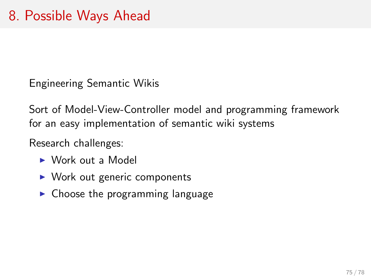Engineering Semantic Wikis

Sort of Model-View-Controller model and programming framework for an easy implementation of semantic wiki systems

Research challenges:

- $\triangleright$  Work out a Model
- $\triangleright$  Work out generic components
- $\triangleright$  Choose the programming language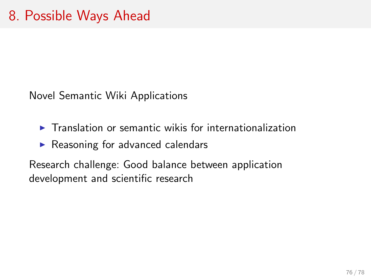Novel Semantic Wiki Applications

- $\blacktriangleright$  Translation or semantic wikis for internationalization
- $\triangleright$  Reasoning for advanced calendars

Research challenge: Good balance between application development and scientific research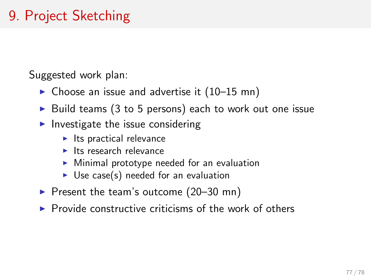## 9. Project Sketching

Suggested work plan:

- $\triangleright$  Choose an issue and advertise it (10–15 mn)
- $\triangleright$  Build teams (3 to 5 persons) each to work out one issue
- Investigate the issue considering
	- $\blacktriangleright$  Its practical relevance
	- $\blacktriangleright$  Its research relevance
	- <sup>I</sup> Minimal prototype needed for an evaluation
	- $\triangleright$  Use case(s) needed for an evaluation
- Present the team's outcome  $(20-30 \text{ mn})$
- $\triangleright$  Provide constructive criticisms of the work of others